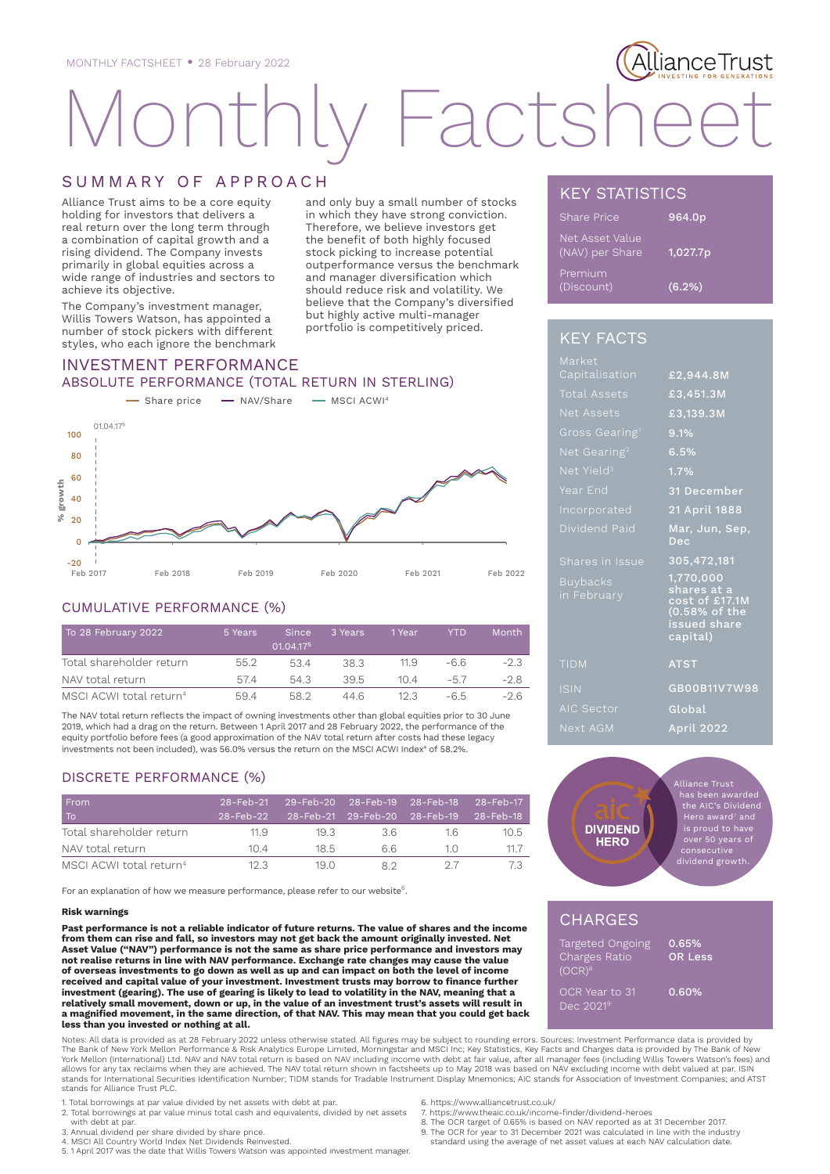# acts

# SUMMARY OF APPROACH

Alliance Trust aims to be a core equity holding for investors that delivers a real return over the long term through a combination of capital growth and a rising dividend. The Company invests primarily in global equities across a wide range of industries and sectors to achieve its objective.

The Company's investment manager, Willis Towers Watson, has appointed a number of stock pickers with different styles, who each ignore the benchmark

and only buy a small number of stocks in which they have strong conviction. Therefore, we believe investors get the benefit of both highly focused stock picking to increase potential outperformance versus the benchmark and manager diversification which should reduce risk and volatility. We believe that the Company's diversified but highly active multi-manager portfolio is competitively priced.

# INVESTMENT PERFORMANCE ABSOLUTE PERFORMANCE (TOTAL RETURN IN STERLING)



## CUMULATIVE PERFORMANCE (%)

| To 28 February 2022                 | 5 Years | <b>Since</b><br>01.04.175 | 3 Years | 1 Year | YTD   | Month  |
|-------------------------------------|---------|---------------------------|---------|--------|-------|--------|
| Total shareholder return            | 552     | 534                       | 38.3    | 11.9   | -66   | $-2.3$ |
| NAV total return                    | 5/4     | 543                       | 395     | 10 4   | $-5/$ | $-28$  |
| MSCI ACWI total return <sup>4</sup> | 594     | 58.2                      | 446     | 12 B   | -65   | -26    |

The NAV total return reflects the impact of owning investments other than global equities prior to 30 June 2019, which had a drag on the return. Between 1 April 2017 and 28 February 2022, the performance of the equity portfolio before fees (a good approximation of the NAV total return after costs had these legacy investments not been included), was 56.0% versus the return on the MSCI ACWI Index $^4$  of 58.2%.

## DISCRETE PERFORMANCE (%)

| From<br>To                          | $28$ -Feb-21 | 29-Feb-20 28-Feb-19 28-Feb-18 28-Feb-17<br>28-Feb-22  28-Feb-21 29-Feb-20 28-Feb-19  28-Feb-18 |    |      |      |
|-------------------------------------|--------------|------------------------------------------------------------------------------------------------|----|------|------|
| Total shareholder return            | 11.9         | 19.3                                                                                           | 36 | 16   | 10.5 |
| NAV total return                    | 104          | 18.5                                                                                           | 66 | 10   | 11.7 |
| MSCI ACWI total return <sup>4</sup> | 12.3         | 19 O                                                                                           | 82 | - 27 | 73   |

For an explanation of how we measure performance, please refer to our website<sup>6</sup>.

#### **Risk warnings**

**Past performance is not a reliable indicator of future returns. The value of shares and the income from them can rise and fall, so investors may not get back the amount originally invested. Net Asset Value ("NAV") performance is not the same as share price performance and investors may not realise returns in line with NAV performance. Exchange rate changes may cause the value of overseas investments to go down as well as up and can impact on both the level of income received and capital value of your investment. Investment trusts may borrow to finance further investment (gearing). The use of gearing is likely to lead to volatility in the NAV, meaning that a relatively small movement, down or up, in the value of an investment trust's assets will result in a magnified movement, in the same direction, of that NAV. This may mean that you could get back less than you invested or nothing at all.** stands for Alliance Trust Prince Contains for Alliance Trust Plance Contained Scher May total refunding the analysis of Alliance Trust Plance Trust Plance Trust Plance Trust Plance Trust Plance Trust Plance Trust Plance Tr

Notes: All data is provided as at 28 February 2022 unless otherwise stated. All figures may be subject to rounding errors. Sources: Investment Performance data is provided by<br>The Bank of New York Mellon Performance & Risk York Mellon (International) Ltd. NAV and NAV total return is based on NAV including income with debt at fair value, after all manager fees (including Willis Towers Watson's fees) and<br>allows for any tax reclaims when they a stands for International Securities Identification Number; TIDM stands for Tradable Instrument Display Mnemonics; AIC stands for Association of Investment Companies; and ATST stands for Alliance Trust PLC.

- 1. Total borrowings at par value divided by net assets with debt at par. 2. Total borrowings at par value minus total cash and equivalents, divided by net assets
- with debt at par.
- 3. Annual dividend per share divided by share price.
- 4. MSCI All Country World Index Net Dividends Reinvested. 5. 1 April 2017 was the date that Willis Towers Watson was appointed investment manager.

KEY STATISTICS

| Share Price                        | 964.0p   |
|------------------------------------|----------|
| Net Asset Value<br>(NAV) per Share | 1,027.7p |
| Premium<br>(Discount)              | (6.2%)   |

lianceTrust

# KEY FACTS

| Market                         |                                                                                         |
|--------------------------------|-----------------------------------------------------------------------------------------|
| Capitalisation                 | £2,944.8M                                                                               |
| <b>Total Assets</b>            | £3,451.3M                                                                               |
| Net Assets                     | £3,139.3M                                                                               |
| Gross Gearing <sup>1</sup>     | 9.1%                                                                                    |
| Net Gearing <sup>2</sup>       | 6.5%                                                                                    |
| Net Yield <sup>3</sup>         | 1.7%                                                                                    |
| Year End                       | 31 December                                                                             |
| Incorporated                   | 21 April 1888                                                                           |
| Dividend Paid                  | Mar, Jun, Sep,<br>Dec                                                                   |
| Shares in Issue                | 305,472,181                                                                             |
| <b>Buybacks</b><br>in February | 1,770,000<br>shares at a<br>cost of £17.1M<br>(0.58% of the<br>issued share<br>capital) |
| <b>TIDM</b>                    | <b>ATST</b>                                                                             |
| <b>ISIN</b>                    | GB00B11V7W98                                                                            |
| <b>AIC Sector</b>              | Global                                                                                  |
| Next AGM                       | <b>April 2022</b>                                                                       |
|                                |                                                                                         |



Alliance Trust has been awarded the AIC's Dividend<br>Hero award<sup>7</sup> and over 50 years of dividend growth.

# **CHARGES**

| Targeted Ongoing<br>Charges Ratio<br>(OCR) <sup>8</sup> | $0.65\%$<br><b>OR Less</b> |
|---------------------------------------------------------|----------------------------|
| OCR Year to 31<br>Dec 2021 <sup>9</sup>                 | 0.60%                      |

- 6. https://www.alliancetrust.co.uk/
- 7. https://www.theaic.co.uk/income-finder/dividend-heroes
- 8. The OCR target of 0.65% is based on NAV reported as at 31 December 2017. 9. The OCR for year to 31 December 2021 was calculated in line with the industry
- standard using the average of net asset values at each NAV calculation date.